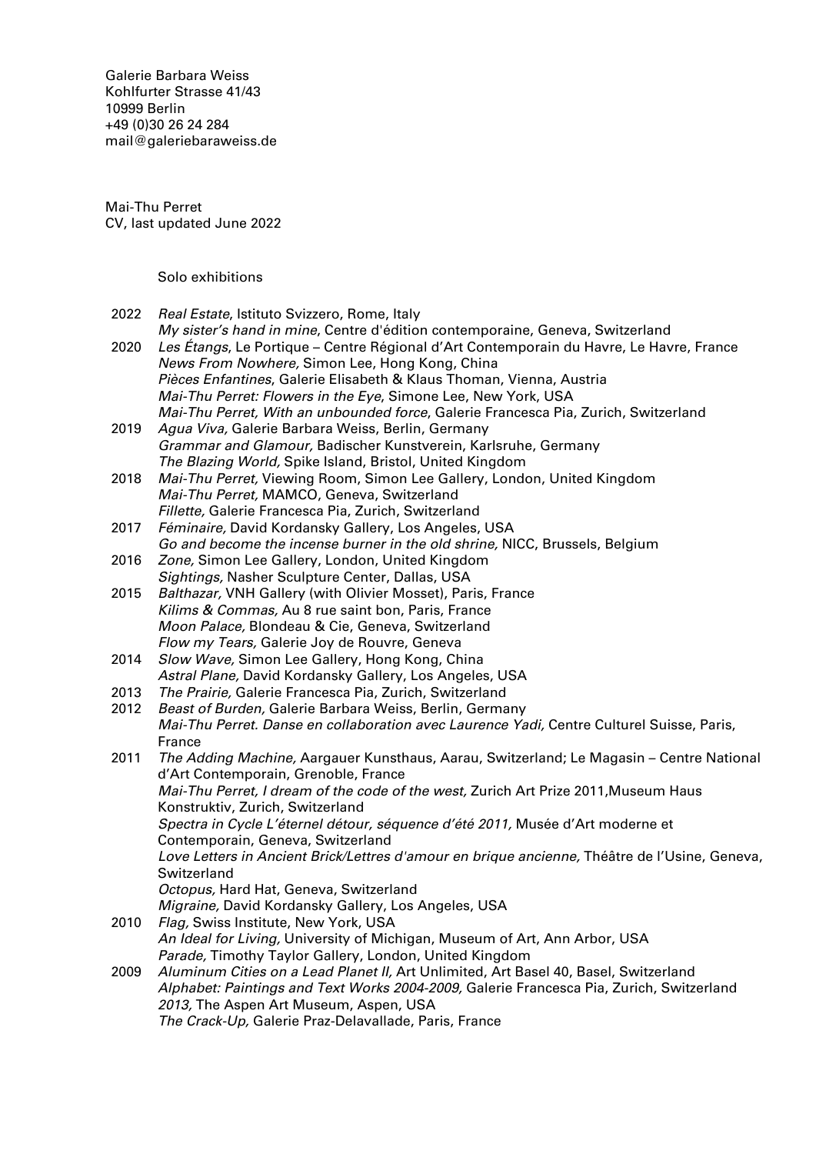Galerie Barbara Weiss [Kohlfurter Strasse 41/43](https://goo.gl/maps/ZQcePopa6uu3a3k19) [10999 Berlin](https://goo.gl/maps/ZQcePopa6uu3a3k19) +49 (0)30 26 24 284 [mail@galeriebaraweiss.de](mailto:mail@galeriebarbaraweiss.de)

Mai-Thu Perret CV, last updated June 2022

Solo exhibitions

- 2022 Real Estate, Istituto Svizzero, Rome, Italy
- My sister's hand in mine, Centre d'édition contemporaine, Geneva, Switzerland 2020 Les Étangs, Le Portique – Centre Régional d'Art Contemporain du Havre, Le Havre, France News From Nowhere, Simon Lee, Hong Kong, China Pièces Enfantines, Galerie Elisabeth & Klaus Thoman, Vienna, Austria Mai-Thu Perret: Flowers in the Eye, Simone Lee, New York, USA Mai-Thu Perret, With an unbounded force, Galerie Francesca Pia, Zurich, Switzerland
- 2019 Agua Viva, Galerie Barbara Weiss, Berlin, Germany Grammar and Glamour, Badischer Kunstverein, Karlsruhe, Germany The Blazing World, Spike Island, Bristol, United Kingdom
- 2018 Mai-Thu Perret, Viewing Room, Simon Lee Gallery, London, United Kingdom Mai-Thu Perret, MAMCO, Geneva, Switzerland Fillette, Galerie Francesca Pia, Zurich, Switzerland
- 2017 Féminaire, David Kordansky Gallery, Los Angeles, USA Go and become the incense burner in the old shrine, NICC, Brussels, Belgium
- 2016 *Zone,* Simon Lee Gallery, London, United Kingdom Sightings, Nasher Sculpture Center, Dallas, USA
- 2015 Balthazar, VNH Gallery (with Olivier Mosset), Paris, France Kilims & Commas, Au 8 rue saint bon, Paris, France Moon Palace, Blondeau & Cie, Geneva, Switzerland Flow my Tears, Galerie Joy de Rouvre, Geneva
- 2014 Slow Wave, Simon Lee Gallery, Hong Kong, China Astral Plane, David Kordansky Gallery, Los Angeles, USA
- 2013 The Prairie, Galerie Francesca Pia, Zurich, Switzerland
- 2012 Beast of Burden, Galerie Barbara Weiss, Berlin, Germany Mai-Thu Perret. Danse en collaboration avec Laurence Yadi, Centre Culturel Suisse, Paris, France
- 2011 The Adding Machine, Aargauer Kunsthaus, Aarau, Switzerland: Le Magasin Centre National d'Art Contemporain, Grenoble, France Mai-Thu Perret, I dream of the code of the west, Zurich Art Prize 2011,Museum Haus Konstruktiv, Zurich, Switzerland Spectra in Cycle L'éternel détour, séquence d'été 2011, Musée d'Art moderne et Contemporain, Geneva, Switzerland Love Letters in Ancient Brick/Lettres d'amour en brique ancienne, Théâtre de l'Usine, Geneva, Switzerland Octopus, Hard Hat, Geneva, Switzerland Migraine, David Kordansky Gallery, Los Angeles, USA 2010 Flag, Swiss Institute, New York, USA
- An Ideal for Living, University of Michigan, Museum of Art, Ann Arbor, USA Parade, Timothy Taylor Gallery, London, United Kingdom
- 2009 Aluminum Cities on a Lead Planet II, Art Unlimited, Art Basel 40, Basel, Switzerland Alphabet: Paintings and Text Works 2004-2009, Galerie Francesca Pia, Zurich, Switzerland 2013, The Aspen Art Museum, Aspen, USA The Crack-Up, Galerie Praz-Delavallade, Paris, France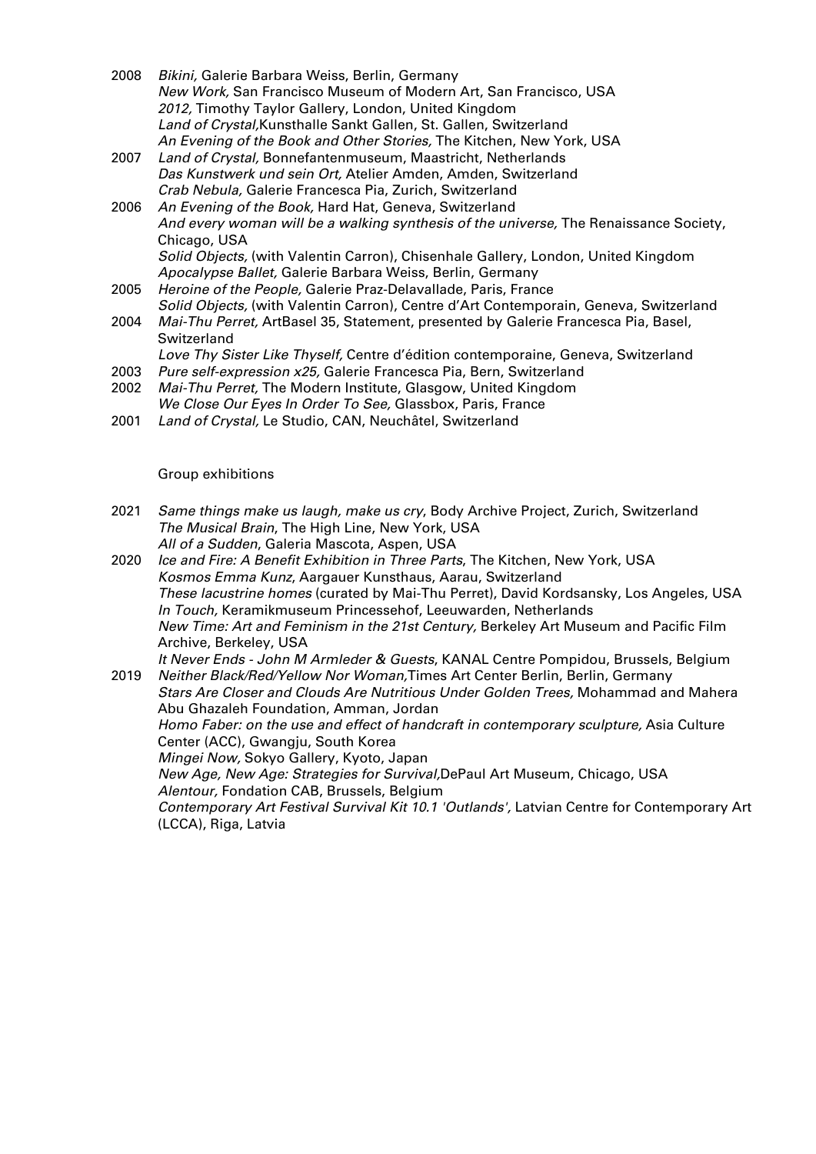- 2008 Bikini, Galerie Barbara Weiss, Berlin, Germany New Work, San Francisco Museum of Modern Art, San Francisco, USA 2012, Timothy Taylor Gallery, London, United Kingdom Land of Crystal,Kunsthalle Sankt Gallen, St. Gallen, Switzerland An Evening of the Book and Other Stories, The Kitchen, New York, USA
- 2007 Land of Crystal, Bonnefantenmuseum, Maastricht, Netherlands Das Kunstwerk und sein Ort, Atelier Amden, Amden, Switzerland Crab Nebula, Galerie Francesca Pia, Zurich, Switzerland
- 2006 An Evening of the Book, Hard Hat, Geneva, Switzerland And every woman will be a walking synthesis of the universe, The Renaissance Society, Chicago, USA Solid Objects, (with Valentin Carron), Chisenhale Gallery, London, United Kingdom Apocalypse Ballet, Galerie Barbara Weiss, Berlin, Germany
- 2005 Heroine of the People, Galerie Praz-Delavallade, Paris, France Solid Objects, (with Valentin Carron), Centre d'Art Contemporain, Geneva, Switzerland
- 2004 Mai-Thu Perret, ArtBasel 35, Statement, presented by Galerie Francesca Pia, Basel, Switzerland
- Love Thy Sister Like Thyself, Centre d'édition contemporaine, Geneva, Switzerland
- 2003 Pure self-expression x25, Galerie Francesca Pia, Bern, Switzerland
- 2002 Mai-Thu Perret, The Modern Institute, Glasgow, United Kingdom We Close Our Eyes In Order To See, Glassbox, Paris, France
- 2001 Land of Crystal, Le Studio, CAN, Neuchâtel, Switzerland

## Group exhibitions

- 2021 Same things make us laugh, make us cry, Body Archive Project, Zurich, Switzerland The Musical Brain, The High Line, New York, USA All of a Sudden, Galeria Mascota, Aspen, USA
- 2020 Ice and Fire: A Benefit Exhibition in Three Parts, The Kitchen, New York, USA Kosmos Emma Kunz, Aargauer Kunsthaus, Aarau, Switzerland These lacustrine homes (curated by Mai-Thu Perret), David Kordsansky, Los Angeles, USA In Touch, Keramikmuseum Princessehof, Leeuwarden, Netherlands New Time: Art and Feminism in the 21st Century, Berkeley Art Museum and Pacific Film Archive, Berkeley, USA

It Never Ends - John M Armleder & Guests, KANAL Centre Pompidou, Brussels, Belgium

2019 Neither Black/Red/Yellow Nor Woman, Times Art Center Berlin, Berlin, Germany Stars Are Closer and Clouds Are Nutritious Under Golden Trees, Mohammad and Mahera Abu Ghazaleh Foundation, Amman, Jordan Homo Faber: on the use and effect of handcraft in contemporary sculpture, Asia Culture Center (ACC), Gwangju, South Korea Mingei Now, Sokyo Gallery, Kyoto, Japan New Age, New Age: Strategies for Survival,DePaul Art Museum, Chicago, USA Alentour, Fondation CAB, Brussels, Belgium Contemporary Art Festival Survival Kit 10.1 'Outlands', Latvian Centre for Contemporary Art (LCCA), Riga, Latvia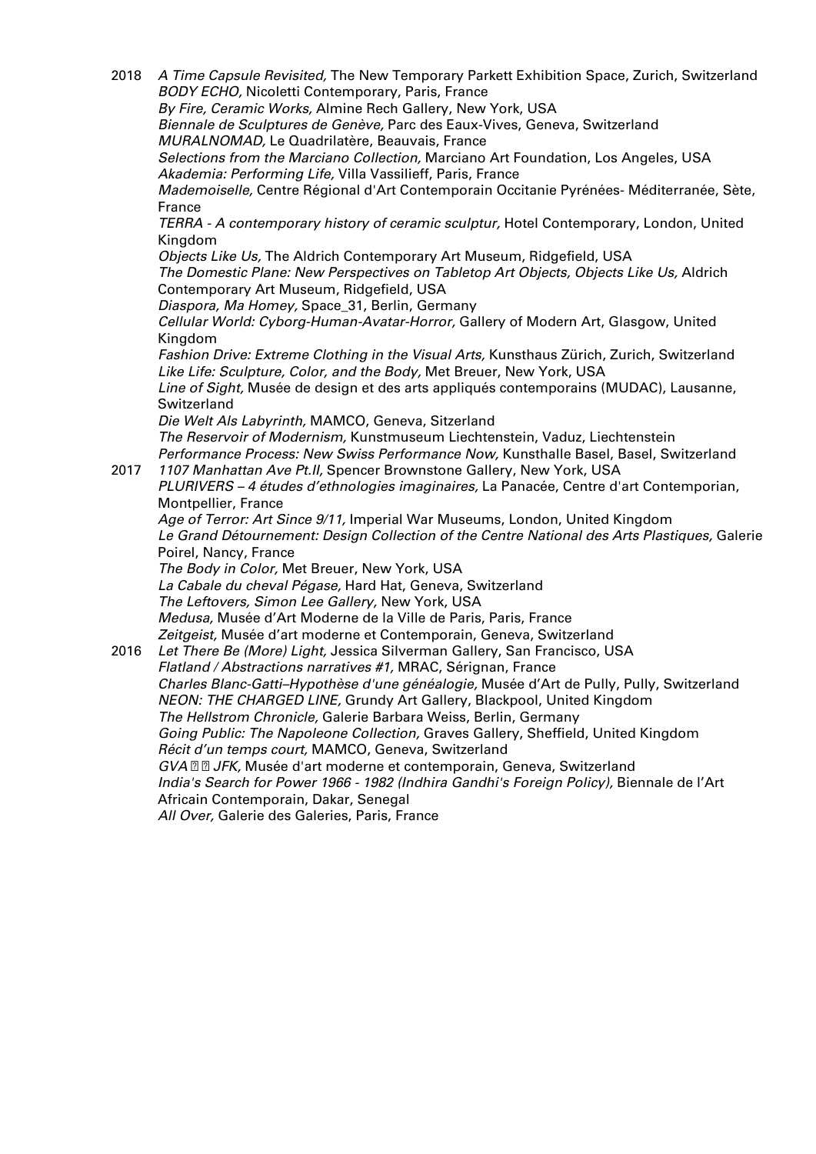2018 A Time Capsule Revisited, The New Temporary Parkett Exhibition Space, Zurich, Switzerland BODY ECHO, Nicoletti Contemporary, Paris, France By Fire, Ceramic Works, Almine Rech Gallery, New York, USA Biennale de Sculptures de Genève, Parc des Eaux-Vives, Geneva, Switzerland MURALNOMAD, Le Quadrilatère, Beauvais, France Selections from the Marciano Collection, Marciano Art Foundation, Los Angeles, USA Akademia: Performing Life, Villa Vassilieff, Paris, France Mademoiselle, Centre Régional d'Art Contemporain Occitanie Pyrénées- Méditerranée, Sète, France TERRA - A contemporary history of ceramic sculptur, Hotel Contemporary, London, United Kingdom Objects Like Us, The Aldrich Contemporary Art Museum, Ridgefield, USA The Domestic Plane: New Perspectives on Tabletop Art Objects, Objects Like Us, Aldrich Contemporary Art Museum, Ridgefield, USA Diaspora, Ma Homey, Space\_31, Berlin, Germany Cellular World: Cyborg-Human-Avatar-Horror, Gallery of Modern Art, Glasgow, United Kingdom Fashion Drive: Extreme Clothing in the Visual Arts, Kunsthaus Zürich, Zurich, Switzerland Like Life: Sculpture, Color, and the Body, Met Breuer, New York, USA Line of Sight, Musée de design et des arts appliqués contemporains (MUDAC), Lausanne, Switzerland Die Welt Als Labyrinth, MAMCO, Geneva, Sitzerland The Reservoir of Modernism, Kunstmuseum Liechtenstein, Vaduz, Liechtenstein Performance Process: New Swiss Performance Now, Kunsthalle Basel, Basel, Switzerland 2017 1107 Manhattan Ave Pt.II, Spencer Brownstone Gallery, New York, USA PLURIVERS – 4 études d'ethnologies imaginaires, La Panacée, Centre d'art Contemporian, Montpellier, France Age of Terror: Art Since 9/11, Imperial War Museums, London, United Kingdom Le Grand Détournement: Design Collection of the Centre National des Arts Plastiques, Galerie Poirel, Nancy, France The Body in Color, Met Breuer, New York, USA La Cabale du cheval Pégase, Hard Hat, Geneva, Switzerland The Leftovers, Simon Lee Gallery, New York, USA Medusa, Musée d'Art Moderne de la Ville de Paris, Paris, France Zeitgeist, Musée d'art moderne et Contemporain, Geneva, Switzerland 2016 Let There Be (More) Light, Jessica Silverman Gallery, San Francisco, USA Flatland / Abstractions narratives #1, MRAC, Sérignan, France Charles Blanc-Gatti–Hypothèse d'une généalogie, Musée d'Art de Pully, Pully, Switzerland NEON: THE CHARGED LINE, Grundy Art Gallery, Blackpool, United Kingdom The Hellstrom Chronicle, Galerie Barbara Weiss, Berlin, Germany Going Public: The Napoleone Collection, Graves Gallery, Sheffield, United Kingdom Récit d'un temps court, MAMCO, Geneva, Switzerland GVA **D** D JFK, Musée d'art moderne et contemporain, Geneva, Switzerland India's Search for Power 1966 - 1982 (Indhira Gandhi's Foreign Policy), Biennale de l'Art Africain Contemporain, Dakar, Senegal All Over, Galerie des Galeries, Paris, France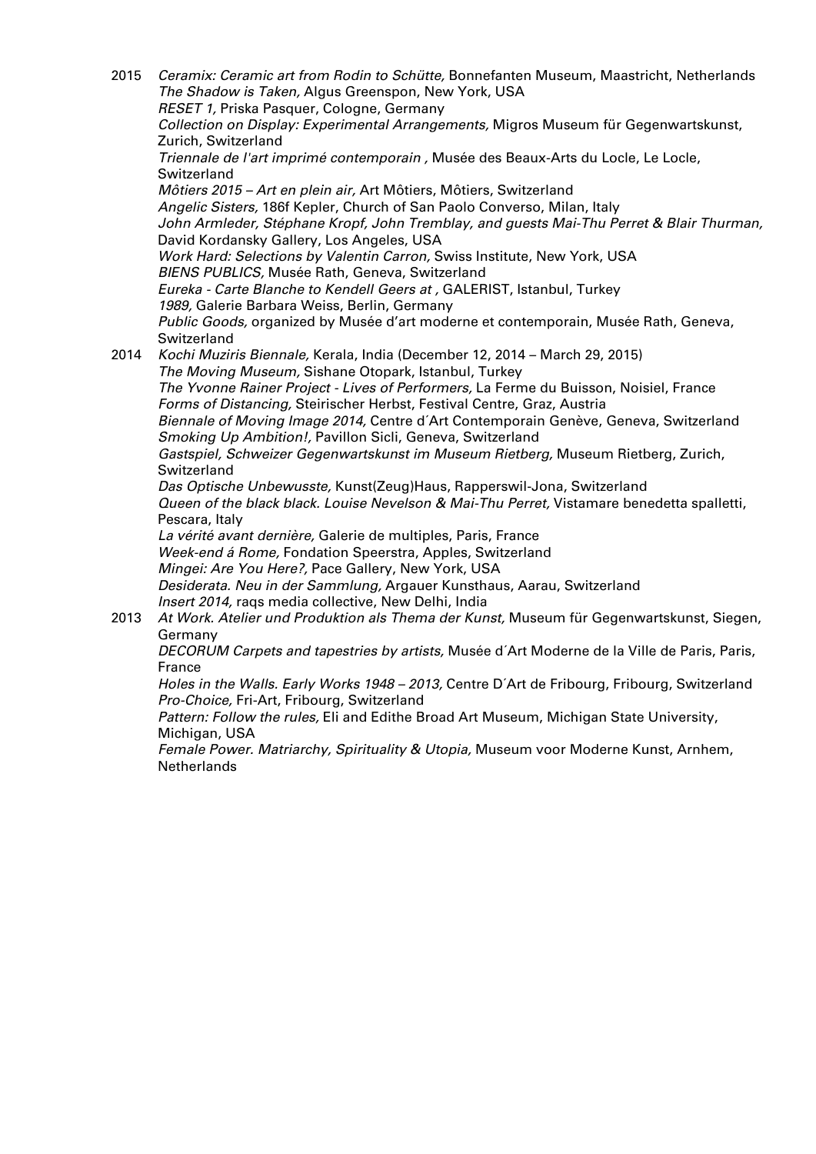2015 Ceramix: Ceramic art from Rodin to Schütte, Bonnefanten Museum, Maastricht, Netherlands The Shadow is Taken, Algus Greenspon, New York, USA RESET 1, Priska Pasquer, Cologne, Germany Collection on Display: Experimental Arrangements, Migros Museum für Gegenwartskunst, Zurich, Switzerland Triennale de l'art imprimé contemporain , Musée des Beaux-Arts du Locle, Le Locle, Switzerland Môtiers 2015 – Art en plein air, Art Môtiers, Môtiers, Switzerland Angelic Sisters, 186f Kepler, Church of San Paolo Converso, Milan, Italy John Armleder, Stéphane Kropf, John Tremblay, and guests Mai-Thu Perret & Blair Thurman, David Kordansky Gallery, Los Angeles, USA Work Hard: Selections by Valentin Carron, Swiss Institute, New York, USA BIENS PUBLICS, Musée Rath, Geneva, Switzerland Eureka - Carte Blanche to Kendell Geers at , GALERIST, Istanbul, Turkey 1989, Galerie Barbara Weiss, Berlin, Germany Public Goods, organized by Musée d'art moderne et contemporain, Musée Rath, Geneva, Switzerland 2014 Kochi Muziris Biennale, Kerala, India (December 12, 2014 – March 29, 2015) The Moving Museum, Sishane Otopark, Istanbul, Turkey The Yvonne Rainer Project - Lives of Performers, La Ferme du Buisson, Noisiel, France Forms of Distancing, Steirischer Herbst, Festival Centre, Graz, Austria Biennale of Moving Image 2014, Centre d´Art Contemporain Genève, Geneva, Switzerland Smoking Up Ambition!, Pavillon Sicli, Geneva, Switzerland Gastspiel, Schweizer Gegenwartskunst im Museum Rietberg, Museum Rietberg, Zurich, Switzerland Das Optische Unbewusste, Kunst(Zeug)Haus, Rapperswil-Jona, Switzerland Queen of the black black. Louise Nevelson & Mai-Thu Perret, Vistamare benedetta spalletti, Pescara, Italy La vérité avant dernière, Galerie de multiples, Paris, France Week-end á Rome, Fondation Speerstra, Apples, Switzerland Mingei: Are You Here?, Pace Gallery, New York, USA Desiderata. Neu in der Sammlung, Argauer Kunsthaus, Aarau, Switzerland Insert 2014, raqs media collective, New Delhi, India 2013 At Work. Atelier und Produktion als Thema der Kunst, Museum für Gegenwartskunst, Siegen, Germany DECORUM Carpets and tapestries by artists, Musée d´Art Moderne de la Ville de Paris, Paris, France Holes in the Walls. Early Works 1948 – 2013, Centre D´Art de Fribourg, Fribourg, Switzerland Pro-Choice, Fri-Art, Fribourg, Switzerland Pattern: Follow the rules, Eli and Edithe Broad Art Museum, Michigan State University, Michigan, USA

Female Power. Matriarchy, Spirituality & Utopia, Museum voor Moderne Kunst, Arnhem, **Netherlands**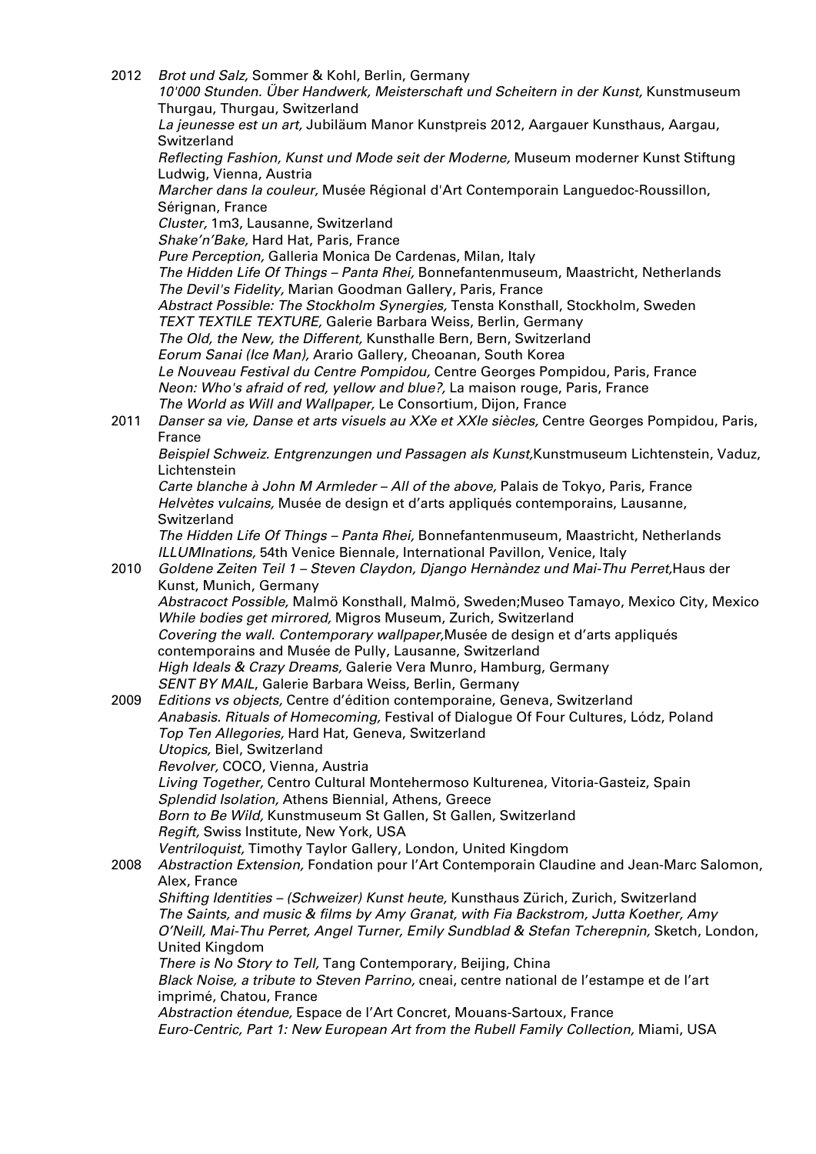2012 Brot und Salz, Sommer & Kohl, Berlin, Germany 10'000 Stunden. Über Handwerk, Meisterschaft und Scheitern in der Kunst, Kunstmuseum Thurgau, Thurgau, Switzerland La jeunesse est un art, Jubiläum Manor Kunstpreis 2012, Aargauer Kunsthaus, Aargau, Switzerland Reflecting Fashion, Kunst und Mode seit der Moderne, Museum moderner Kunst Stiftung Ludwig, Vienna, Austria Marcher dans la couleur, Musée Régional d'Art Contemporain Languedoc-Roussillon, Sérignan, France Cluster, 1m3, Lausanne, Switzerland Shake'n'Bake, Hard Hat, Paris, France Pure Perception, Galleria Monica De Cardenas, Milan, Italy The Hidden Life Of Things – Panta Rhei, Bonnefantenmuseum, Maastricht, Netherlands The Devil's Fidelity, Marian Goodman Gallery, Paris, France Abstract Possible: The Stockholm Synergies, Tensta Konsthall, Stockholm, Sweden TEXT TEXTILE TEXTURE, Galerie Barbara Weiss, Berlin, Germany The Old, the New, the Different, Kunsthalle Bern, Bern, Switzerland Eorum Sanai (Ice Man), Arario Gallery, Cheoanan, South Korea Le Nouveau Festival du Centre Pompidou, Centre Georges Pompidou, Paris, France Neon: Who's afraid of red, yellow and blue?, La maison rouge, Paris, France The World as Will and Wallpaper, Le Consortium, Dijon, France 2011 Danser sa vie, Danse et arts visuels au XXe et XXIe siècles, Centre Georges Pompidou, Paris, France Beispiel Schweiz. Entgrenzungen und Passagen als Kunst,Kunstmuseum Lichtenstein, Vaduz, Lichtenstein Carte blanche à John M Armleder – All of the above, Palais de Tokyo, Paris, France Helvètes vulcains, Musée de design et d'arts appliqués contemporains, Lausanne, Switzerland The Hidden Life Of Things – Panta Rhei, Bonnefantenmuseum, Maastricht, Netherlands ILLUMInations, 54th Venice Biennale, International Pavillon, Venice, Italy 2010 Goldene Zeiten Teil 1 – Steven Claydon, Django Hernàndez und Mai-Thu Perret,Haus der Kunst, Munich, Germany Abstracoct Possible, Malmö Konsthall, Malmö, Sweden;Museo Tamayo, Mexico City, Mexico While bodies get mirrored, Migros Museum, Zurich, Switzerland Covering the wall. Contemporary wallpaper,Musée de design et d'arts appliqués contemporains and Musée de Pully, Lausanne, Switzerland High Ideals & Crazy Dreams, Galerie Vera Munro, Hamburg, Germany SENT BY MAIL, Galerie Barbara Weiss, Berlin, Germany 2009 Editions vs objects, Centre d'édition contemporaine, Geneva, Switzerland Anabasis. Rituals of Homecoming, Festival of Dialogue Of Four Cultures, Lódz, Poland Top Ten Allegories, Hard Hat, Geneva, Switzerland Utopics, Biel, Switzerland Revolver, COCO, Vienna, Austria Living Together, Centro Cultural Montehermoso Kulturenea, Vitoria-Gasteiz, Spain Splendid Isolation, Athens Biennial, Athens, Greece Born to Be Wild, Kunstmuseum St Gallen, St Gallen, Switzerland Regift, Swiss Institute, New York, USA Ventriloquist, Timothy Taylor Gallery, London, United Kingdom 2008 Abstraction Extension, Fondation pour l'Art Contemporain Claudine and Jean-Marc Salomon, Alex, France Shifting Identities – (Schweizer) Kunst heute, Kunsthaus Zürich, Zurich, Switzerland The Saints, and music & films by Amy Granat, with Fia Backstrom, Jutta Koether, Amy O'Neill, Mai-Thu Perret, Angel Turner, Emily Sundblad & Stefan Tcherepnin, Sketch, London, United Kingdom There is No Story to Tell, Tang Contemporary, Beijing, China Black Noise, a tribute to Steven Parrino, cneai, centre national de l'estampe et de l'art imprimé, Chatou, France Abstraction étendue, Espace de l'Art Concret, Mouans-Sartoux, France Euro-Centric, Part 1: New European Art from the Rubell Family Collection, Miami, USA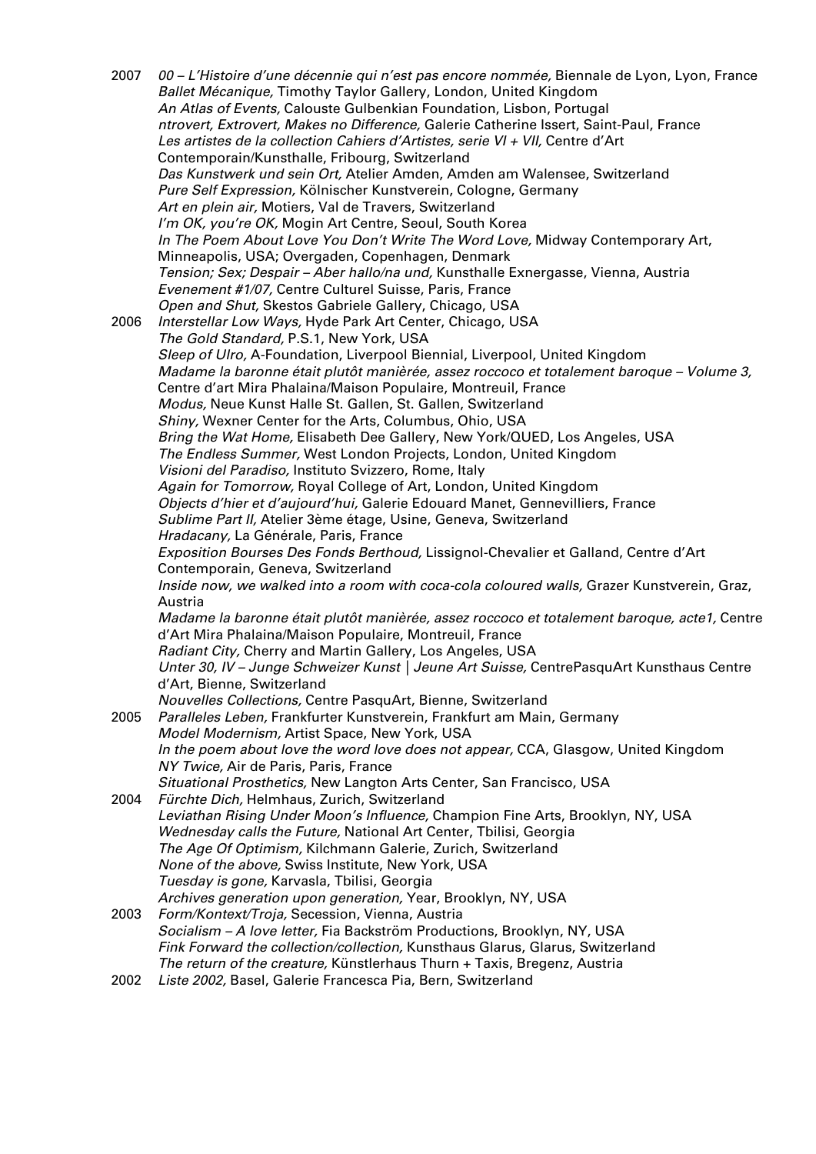2007 00 – L'Histoire d'une décennie qui n'est pas encore nommée, Biennale de Lyon, Lyon, France Ballet Mécanique, Timothy Taylor Gallery, London, United Kingdom An Atlas of Events, Calouste Gulbenkian Foundation, Lisbon, Portugal ntrovert, Extrovert, Makes no Difference, Galerie Catherine Issert, Saint-Paul, France Les artistes de la collection Cahiers d'Artistes, serie VI + VII, Centre d'Art Contemporain/Kunsthalle, Fribourg, Switzerland Das Kunstwerk und sein Ort, Atelier Amden, Amden am Walensee, Switzerland Pure Self Expression, Kölnischer Kunstverein, Cologne, Germany Art en plein air, Motiers, Val de Travers, Switzerland I'm OK, you're OK, Mogin Art Centre, Seoul, South Korea In The Poem About Love You Don't Write The Word Love, Midway Contemporary Art, Minneapolis, USA; Overgaden, Copenhagen, Denmark Tension; Sex; Despair – Aber hallo/na und, Kunsthalle Exnergasse, Vienna, Austria Evenement #1/07, Centre Culturel Suisse, Paris, France Open and Shut, Skestos Gabriele Gallery, Chicago, USA 2006 Interstellar Low Ways, Hyde Park Art Center, Chicago, USA The Gold Standard, P.S.1, New York, USA Sleep of Ulro, A-Foundation, Liverpool Biennial, Liverpool, United Kingdom Madame la baronne était plutôt manièrée, assez roccoco et totalement baroque – Volume 3, Centre d'art Mira Phalaina/Maison Populaire, Montreuil, France Modus, Neue Kunst Halle St. Gallen, St. Gallen, Switzerland Shiny, Wexner Center for the Arts, Columbus, Ohio, USA Bring the Wat Home, Elisabeth Dee Gallery, New York/QUED, Los Angeles, USA The Endless Summer, West London Projects, London, United Kingdom Visioni del Paradiso, Instituto Svizzero, Rome, Italy Again for Tomorrow, Royal College of Art, London, United Kingdom Objects d'hier et d'aujourd'hui, Galerie Edouard Manet, Gennevilliers, France Sublime Part II, Atelier 3ème étage, Usine, Geneva, Switzerland Hradacany, La Générale, Paris, France Exposition Bourses Des Fonds Berthoud, Lissignol-Chevalier et Galland, Centre d'Art Contemporain, Geneva, Switzerland Inside now, we walked into a room with coca-cola coloured walls, Grazer Kunstverein, Graz, Austria Madame la baronne était plutôt manièrée, assez roccoco et totalement baroque, acte1, Centre d'Art Mira Phalaina/Maison Populaire, Montreuil, France Radiant City, Cherry and Martin Gallery, Los Angeles, USA Unter 30, IV – Junge Schweizer Kunst | Jeune Art Suisse, CentrePasquArt Kunsthaus Centre d'Art, Bienne, Switzerland Nouvelles Collections, Centre PasquArt, Bienne, Switzerland 2005 Paralleles Leben, Frankfurter Kunstverein, Frankfurt am Main, Germany Model Modernism, Artist Space, New York, USA In the poem about love the word love does not appear, CCA, Glasgow, United Kingdom NY Twice, Air de Paris, Paris, France Situational Prosthetics, New Langton Arts Center, San Francisco, USA 2004 Fürchte Dich, Helmhaus, Zurich, Switzerland Leviathan Rising Under Moon's Influence, Champion Fine Arts, Brooklyn, NY, USA Wednesday calls the Future, National Art Center, Tbilisi, Georgia The Age Of Optimism, Kilchmann Galerie, Zurich, Switzerland None of the above, Swiss Institute, New York, USA Tuesday is gone, Karvasla, Tbilisi, Georgia Archives generation upon generation, Year, Brooklyn, NY, USA 2003 Form/Kontext/Troja, Secession, Vienna, Austria Socialism – A love letter, Fia Backström Productions, Brooklyn, NY, USA Fink Forward the collection/collection, Kunsthaus Glarus, Glarus, Switzerland The return of the creature, Künstlerhaus Thurn + Taxis, Bregenz, Austria 2002 Liste 2002, Basel, Galerie Francesca Pia, Bern, Switzerland